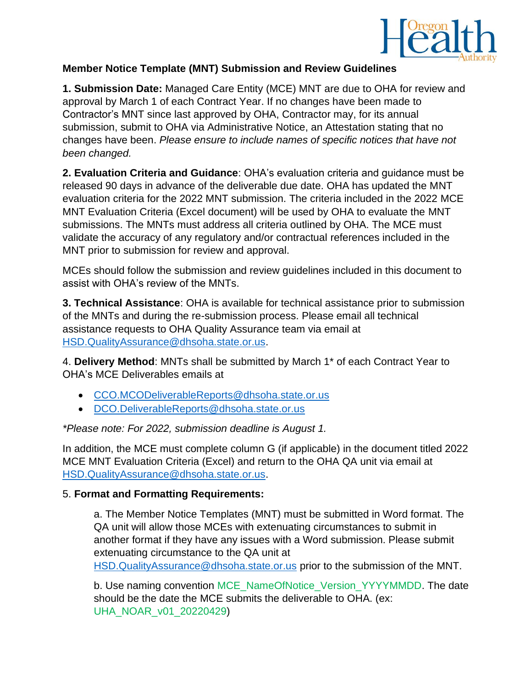

## **Member Notice Template (MNT) Submission and Review Guidelines**

**1. Submission Date:** Managed Care Entity (MCE) MNT are due to OHA for review and approval by March 1 of each Contract Year. If no changes have been made to Contractor's MNT since last approved by OHA, Contractor may, for its annual submission, submit to OHA via Administrative Notice, an Attestation stating that no changes have been. *Please ensure to include names of specific notices that have not been changed.*

**2. Evaluation Criteria and Guidance**: OHA's evaluation criteria and guidance must be released 90 days in advance of the deliverable due date. OHA has updated the MNT evaluation criteria for the 2022 MNT submission. The criteria included in the 2022 MCE MNT Evaluation Criteria (Excel document) will be used by OHA to evaluate the MNT submissions. The MNTs must address all criteria outlined by OHA. The MCE must validate the accuracy of any regulatory and/or contractual references included in the MNT prior to submission for review and approval.

MCEs should follow the submission and review guidelines included in this document to assist with OHA's review of the MNTs.

**3. Technical Assistance**: OHA is available for technical assistance prior to submission of the MNTs and during the re-submission process. Please email all technical assistance requests to OHA Quality Assurance team via email at [HSD.QualityAssurance@dhsoha.state.or.us.](mailto:HSD.QualityAssurance@dhsoha.state.or.us)

4. **Delivery Method**: MNTs shall be submitted by March 1\* of each Contract Year to OHA's MCE Deliverables emails at

- [CCO.MCODeliverableReports@dhsoha.state.or.us](mailto:CCO.MCODeliverableReports@dhsoha.state.or.us)
- [DCO.DeliverableReports@dhsoha.state.or.us](mailto:DCO.DeliverableReports@dhsoha.state.or.us)

*\*Please note: For 2022, submission deadline is August 1.*

In addition, the MCE must complete column G (if applicable) in the document titled 2022 MCE MNT Evaluation Criteria (Excel) and return to the OHA QA unit via email at [HSD.QualityAssurance@dhsoha.state.or.us.](mailto:HSD.QualityAssurance@dhsoha.state.or.us)

## 5. **Format and Formatting Requirements:**

a. The Member Notice Templates (MNT) must be submitted in Word format. The QA unit will allow those MCEs with extenuating circumstances to submit in another format if they have any issues with a Word submission. Please submit extenuating circumstance to the QA unit at

[HSD.QualityAssurance@dhsoha.state.or.us](mailto:HSD.QualityAssurance@dhsoha.state.or.us) prior to the submission of the MNT.

b. Use naming convention MCE\_NameOfNotice\_Version\_YYYYMMDD. The date should be the date the MCE submits the deliverable to OHA. (ex: UHA\_NOAR\_v01\_20220429)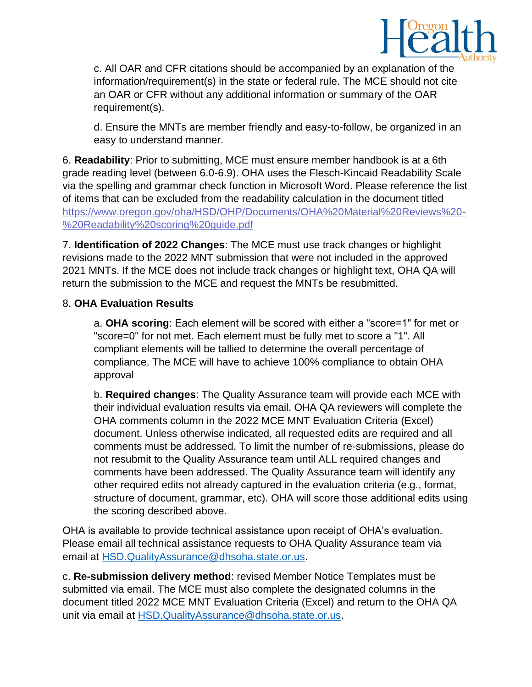

c. All OAR and CFR citations should be accompanied by an explanation of the information/requirement(s) in the state or federal rule. The MCE should not cite an OAR or CFR without any additional information or summary of the OAR requirement(s).

d. Ensure the MNTs are member friendly and easy-to-follow, be organized in an easy to understand manner.

6. **Readability**: Prior to submitting, MCE must ensure member handbook is at a 6th grade reading level (between 6.0-6.9). OHA uses the Flesch-Kincaid Readability Scale via the spelling and grammar check function in Microsoft Word. Please reference the list of items that can be excluded from the readability calculation in the document titled [https://www.oregon.gov/oha/HSD/OHP/Documents/OHA%20Material%20Reviews%20-](https://www.oregon.gov/oha/HSD/OHP/Documents/OHA%20Material%20Reviews%20-%20Readability%20scoring%20guide.pdf) [%20Readability%20scoring%20guide.pdf](https://www.oregon.gov/oha/HSD/OHP/Documents/OHA%20Material%20Reviews%20-%20Readability%20scoring%20guide.pdf)

7. **Identification of 2022 Changes**: The MCE must use track changes or highlight revisions made to the 2022 MNT submission that were not included in the approved 2021 MNTs. If the MCE does not include track changes or highlight text, OHA QA will return the submission to the MCE and request the MNTs be resubmitted.

## 8. **OHA Evaluation Results**

a. **OHA scoring**: Each element will be scored with either a "score=1" for met or "score=0" for not met. Each element must be fully met to score a "1". All compliant elements will be tallied to determine the overall percentage of compliance. The MCE will have to achieve 100% compliance to obtain OHA approval

b. **Required changes**: The Quality Assurance team will provide each MCE with their individual evaluation results via email. OHA QA reviewers will complete the OHA comments column in the 2022 MCE MNT Evaluation Criteria (Excel) document. Unless otherwise indicated, all requested edits are required and all comments must be addressed. To limit the number of re-submissions, please do not resubmit to the Quality Assurance team until ALL required changes and comments have been addressed. The Quality Assurance team will identify any other required edits not already captured in the evaluation criteria (e.g., format, structure of document, grammar, etc). OHA will score those additional edits using the scoring described above.

OHA is available to provide technical assistance upon receipt of OHA's evaluation. Please email all technical assistance requests to OHA Quality Assurance team via email at [HSD.QualityAssurance@dhsoha.state.or.us.](mailto:HSD.QualityAssurance@dhsoha.state.or.us)

c. **Re-submission delivery method**: revised Member Notice Templates must be submitted via email. The MCE must also complete the designated columns in the document titled 2022 MCE MNT Evaluation Criteria (Excel) and return to the OHA QA unit via email at **HSD.QualityAssurance@dhsoha.state.or.us.**